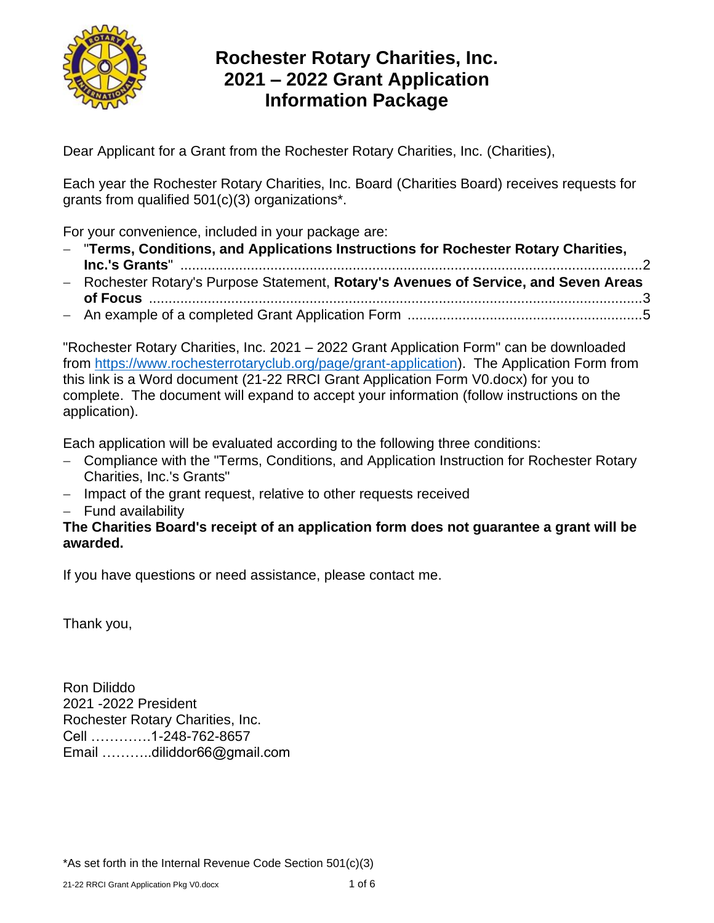

# **Rochester Rotary Charities, Inc. 2021 – 2022 Grant Application Information Package**

Dear Applicant for a Grant from the Rochester Rotary Charities, Inc. (Charities),

Each year the Rochester Rotary Charities, Inc. Board (Charities Board) receives requests for grants from qualified 501(c)(3) organizations\*.

For your convenience, included in your package are:

- − "**Terms, Conditions, and Applications Instructions for Rochester Rotary Charities, Inc.'s Grants**" ......................................................................................................................2
- − Rochester Rotary's Purpose Statement, **Rotary's Avenues of Service, and Seven Areas of Focus** ..............................................................................................................................3
- − An example of a completed Grant Application Form ............................................................5

"Rochester Rotary Charities, Inc. 2021 – 2022 Grant Application Form" can be downloaded from [https://www.rochesterrotaryclub.org/page/grant-application\)](https://www.rochesterrotaryclub.org/page/grant-application). The Application Form from this link is a Word document (21-22 RRCI Grant Application Form V0.docx) for you to complete. The document will expand to accept your information (follow instructions on the application).

Each application will be evaluated according to the following three conditions:

- − Compliance with the "Terms, Conditions, and Application Instruction for Rochester Rotary Charities, Inc.'s Grants"
- − Impact of the grant request, relative to other requests received
- − Fund availability

#### **The Charities Board's receipt of an application form does not guarantee a grant will be awarded.**

If you have questions or need assistance, please contact me.

Thank you,

Ron Diliddo 2021 -2022 President Rochester Rotary Charities, Inc. Cell ………….1-248-762-8657 Email ………..diliddor66@gmail.com

\*As set forth in the Internal Revenue Code Section 501(c)(3)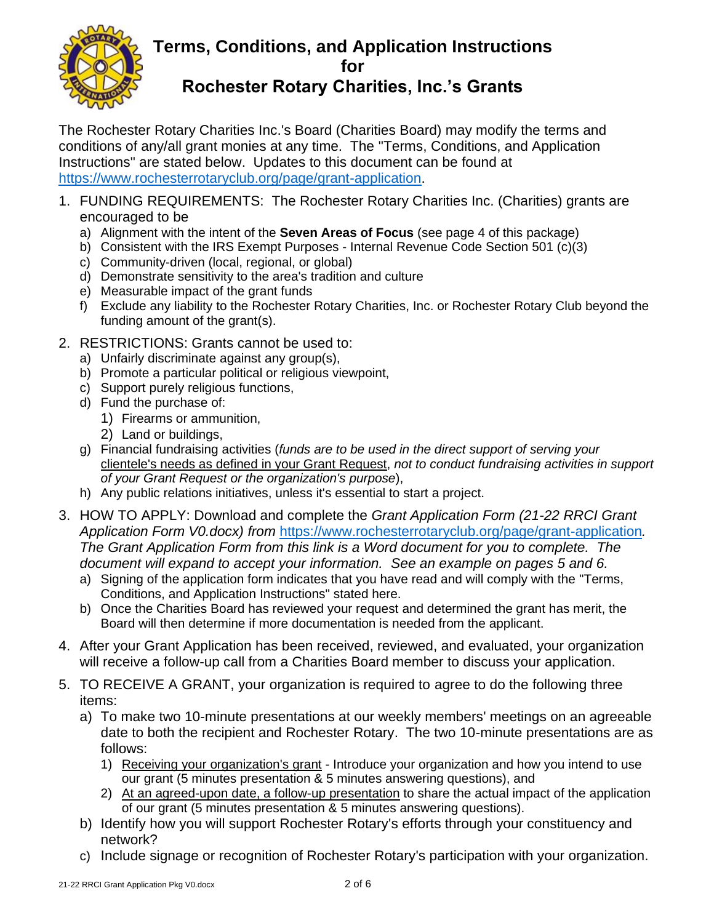

### **Terms, Conditions, and Application Instructions for Rochester Rotary Charities, Inc.'s Grants**

The Rochester Rotary Charities Inc.'s Board (Charities Board) may modify the terms and conditions of any/all grant monies at any time. The "Terms, Conditions, and Application Instructions" are stated below. Updates to this document can be found at [https://www.rochesterrotaryclub.org/page/grant-application.](https://www.rochesterrotaryclub.org/page/grant-application)

- 1. FUNDING REQUIREMENTS: The Rochester Rotary Charities Inc. (Charities) grants are encouraged to be
	- a) Alignment with the intent of the **Seven Areas of Focus** (see page 4 of this package)
	- b) Consistent with the IRS Exempt Purposes Internal Revenue Code Section 501 (c)(3)
	- c) Community-driven (local, regional, or global)
	- d) Demonstrate sensitivity to the area's tradition and culture
	- e) Measurable impact of the grant funds
	- f) Exclude any liability to the Rochester Rotary Charities, Inc. or Rochester Rotary Club beyond the funding amount of the grant(s).
- 2. RESTRICTIONS: Grants cannot be used to:
	- a) Unfairly discriminate against any group(s),
	- b) Promote a particular political or religious viewpoint,
	- c) Support purely religious functions,
	- d) Fund the purchase of:
		- 1) Firearms or ammunition,
		- 2) Land or buildings,
	- g) Financial fundraising activities (*funds are to be used in the direct support of serving your* clientele's needs as defined in your Grant Request, *not to conduct fundraising activities in support of your Grant Request or the organization's purpose*),
	- h) Any public relations initiatives, unless it's essential to start a project.
- 3. HOW TO APPLY: Download and complete the *Grant Application Form (21-22 RRCI Grant Application Form V0.docx) from* <https://www.rochesterrotaryclub.org/page/grant-application>*. The Grant Application Form from this link is a Word document for you to complete. The document will expand to accept your information. See an example on pages 5 and 6.* 
	- a) Signing of the application form indicates that you have read and will comply with the "Terms, Conditions, and Application Instructions" stated here.
	- b) Once the Charities Board has reviewed your request and determined the grant has merit, the Board will then determine if more documentation is needed from the applicant.
- 4. After your Grant Application has been received, reviewed, and evaluated, your organization will receive a follow-up call from a Charities Board member to discuss your application.
- 5. TO RECEIVE A GRANT, your organization is required to agree to do the following three items:
	- a) To make two 10-minute presentations at our weekly members' meetings on an agreeable date to both the recipient and Rochester Rotary. The two 10-minute presentations are as follows:
		- 1) Receiving your organization's grant Introduce your organization and how you intend to use our grant (5 minutes presentation & 5 minutes answering questions), and
		- 2) At an agreed-upon date, a follow-up presentation to share the actual impact of the application of our grant (5 minutes presentation & 5 minutes answering questions).
	- b) Identify how you will support Rochester Rotary's efforts through your constituency and network?
	- c) Include signage or recognition of Rochester Rotary's participation with your organization.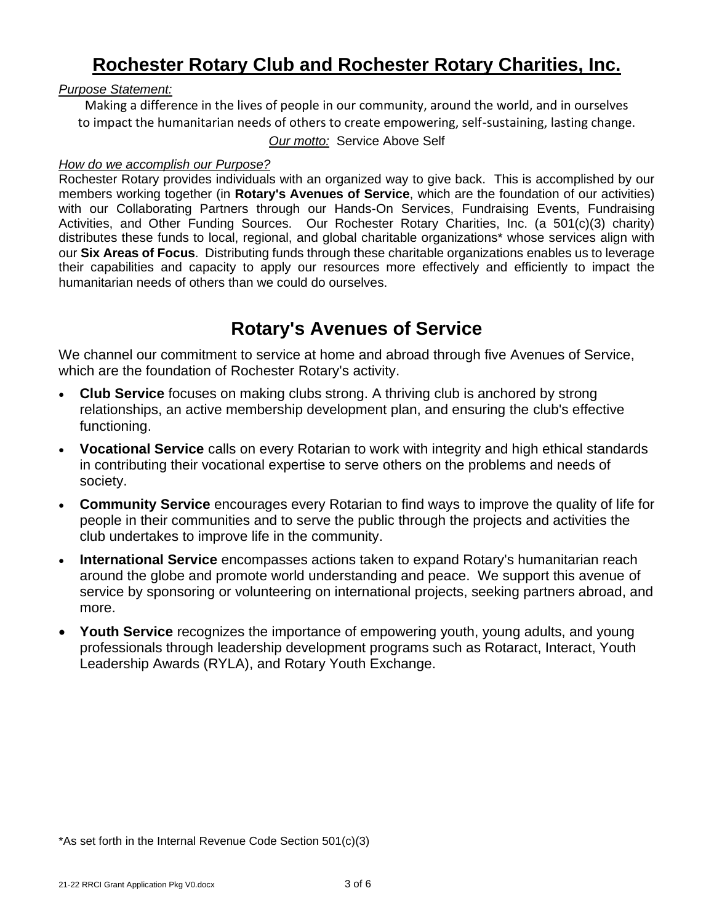# **Rochester Rotary Club and Rochester Rotary Charities, Inc.**

#### *Purpose Statement:*

Making a difference in the lives of people in our community, around the world, and in ourselves to impact the humanitarian needs of others to create empowering, self-sustaining, lasting change.

#### *Our motto:* Service Above Self

#### *How do we accomplish our Purpose?*

Rochester Rotary provides individuals with an organized way to give back. This is accomplished by our members working together (in **Rotary's Avenues of Service**, which are the foundation of our activities) with our Collaborating Partners through our Hands-On Services, Fundraising Events, Fundraising Activities, and Other Funding Sources. Our Rochester Rotary Charities, Inc. (a 501(c)(3) charity) distributes these funds to local, regional, and global charitable organizations\* whose services align with our **Six Areas of Focus**. Distributing funds through these charitable organizations enables us to leverage their capabilities and capacity to apply our resources more effectively and efficiently to impact the humanitarian needs of others than we could do ourselves.

## **Rotary's Avenues of Service**

We channel our commitment to service at home and abroad through five Avenues of Service, which are the foundation of Rochester Rotary's activity.

- **Club Service** focuses on making clubs strong. A thriving club is anchored by strong relationships, an active membership development plan, and ensuring the club's effective functioning.
- **Vocational Service** calls on every Rotarian to work with integrity and high ethical standards in contributing their vocational expertise to serve others on the problems and needs of society.
- **Community Service** encourages every Rotarian to find ways to improve the quality of life for people in their communities and to serve the public through the projects and activities the club undertakes to improve life in the community.
- **International Service** encompasses actions taken to expand Rotary's humanitarian reach around the globe and promote world understanding and peace. We support this avenue of service by sponsoring or volunteering on international projects, seeking partners abroad, and more.
- **Youth Service** recognizes the importance of empowering youth, young adults, and young professionals through leadership development programs such as Rotaract, Interact, Youth Leadership Awards (RYLA), and Rotary Youth Exchange.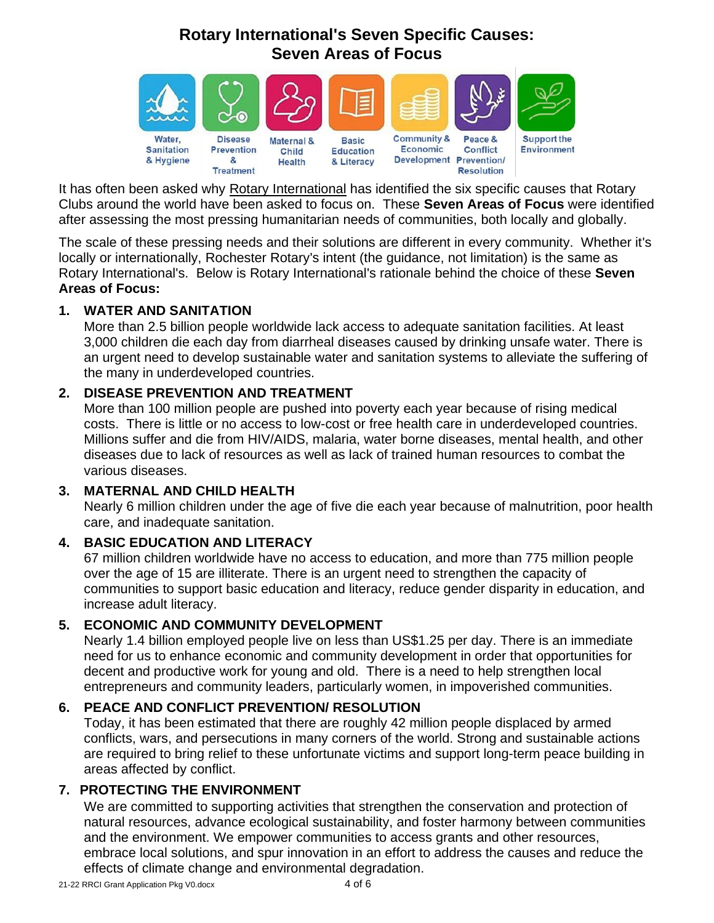## **Rotary International's Seven Specific Causes: Seven Areas of Focus**



It has often been asked why [Rotary International](http://www.rotary.org/) has identified the six specific causes that Rotary Clubs around the world have been asked to focus on. These **Seven Areas of Focus** were identified after assessing the most pressing humanitarian needs of communities, both locally and globally.

The scale of these pressing needs and their solutions are different in every community. Whether it's locally or internationally, Rochester Rotary's intent (the guidance, not limitation) is the same as Rotary International's. Below is Rotary International's rationale behind the choice of these **Seven Areas of Focus:** 

#### **1. WATER AND SANITATION**

More than 2.5 billion people worldwide lack access to adequate sanitation facilities. At least 3,000 children die each day from diarrheal diseases caused by drinking unsafe water. There is an urgent need to develop sustainable water and sanitation systems to alleviate the suffering of the many in underdeveloped countries.

#### **2. DISEASE PREVENTION AND TREATMENT**

More than 100 million people are pushed into poverty each year because of rising medical costs. There is little or no access to low-cost or free health care in underdeveloped countries. Millions suffer and die from HIV/AIDS, malaria, water borne diseases, mental health, and other diseases due to lack of resources as well as lack of trained human resources to combat the various diseases.

#### **3. MATERNAL AND CHILD HEALTH**

Nearly 6 million children under the age of five die each year because of malnutrition, poor health care, and inadequate sanitation.

#### **4. BASIC EDUCATION AND LITERACY**

67 million children worldwide have no access to education, and more than 775 million people over the age of 15 are illiterate. There is an urgent need to strengthen the capacity of communities to support basic education and literacy, reduce gender disparity in education, and increase adult literacy.

#### **5. ECONOMIC AND COMMUNITY DEVELOPMENT**

Nearly 1.4 billion employed people live on less than US\$1.25 per day. There is an immediate need for us to enhance economic and community development in order that opportunities for decent and productive work for young and old. There is a need to help strengthen local entrepreneurs and community leaders, particularly women, in impoverished communities.

#### **6. PEACE AND CONFLICT PREVENTION/ RESOLUTION**

Today, it has been estimated that there are roughly 42 million people displaced by armed conflicts, wars, and persecutions in many corners of the world. Strong and sustainable actions are required to bring relief to these unfortunate victims and support long-term peace building in areas affected by conflict.

#### **7. PROTECTING THE ENVIRONMENT**

We are committed to supporting activities that strengthen the conservation and protection of natural resources, advance ecological sustainability, and foster harmony between communities and the environment. We empower communities to access grants and other resources, embrace local solutions, and spur innovation in an effort to address the causes and reduce the effects of climate change and environmental degradation.

21-22 RRCI Grant Application Pkg V0.docx 4 of 6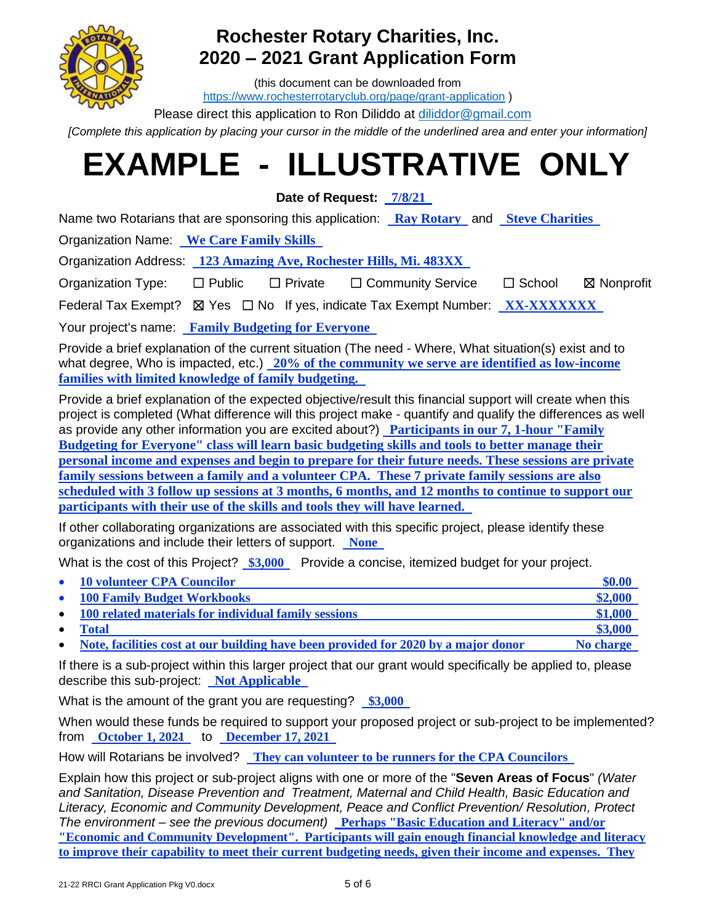

# **Rochester Rotary Charities, Inc. 2020 – 2021 Grant Application Form**

(this document can be downloaded from <https://www.rochesterrotaryclub.org/page/grant-application> )

Please direct this application to Ron Diliddo at *diliddor@gmail.com* 

*[Complete this application by placing your cursor in the middle of the underlined area and enter your information]*

# **EXAMPLE - ILLUSTRATIVE ONLY**

**Date of Request: 7/8/21** .

Name two Rotarians that are sponsoring this application: **Ray Rotary** and **Steve Charities** .

Organization Name: **We Care Family Skills** .

Organization Address: **123 Amazing Ave, Rochester Hills, Mi. 483XX** .

Organization Type: □ Public □ Private □ Community Service □ School ⊠ Nonprofit

Federal Tax Exempt? ☒ Yes ☐ No If yes, indicate Tax Exempt Number: **XX-XXXXXXX** .

Your project's name: **Family Budgeting for Everyone** .

Provide a brief explanation of the current situation (The need - Where, What situation(s) exist and to what degree, Who is impacted, etc.) **20% of the community we serve are identified as low-income families with limited knowledge of family budgeting.** .

Provide a brief explanation of the expected objective/result this financial support will create when this project is completed (What difference will this project make - quantify and qualify the differences as well as provide any other information you are excited about?) **Participants in our 7, 1-hour "Family Budgeting for Everyone" class will learn basic budgeting skills and tools to better manage their personal income and expenses and begin to prepare for their future needs. These sessions are private family sessions between a family and a volunteer CPA. These 7 private family sessions are also scheduled with 3 follow up sessions at 3 months, 6 months, and 12 months to continue to support our participants with their use of the skills and tools they will have learned.** .

If other collaborating organizations are associated with this specific project, please identify these organizations and include their letters of support. **None** .

What is the cost of this Project?  $$3,000$  Provide a concise, itemized budget for your project.

| $\bullet$ | <b>10 volunteer CPA Councilor</b>                                                  | \$0.00    |
|-----------|------------------------------------------------------------------------------------|-----------|
| $\bullet$ | <b>100 Family Budget Workbooks</b>                                                 | \$2,000   |
| $\bullet$ | 100 related materials for individual family sessions                               | \$1,000   |
| $\bullet$ | Total                                                                              | \$3,000   |
| $\bullet$ | Note, facilities cost at our building have been provided for 2020 by a major donor | No charge |

If there is a sub-project within this larger project that our grant would specifically be applied to, please describe this sub-project: **Not Applicable** .

What is the amount of the grant you are requesting? **\$3,000** .

When would these funds be required to support your proposed project or sub-project to be implemented? from **October 1, 2021** . to **December 17, 2021** .

How will Rotarians be involved? **They can volunteer to be runners for the CPA Councilors** .

Explain how this project or sub-project aligns with one or more of the "**Seven Areas of Focus**" *(Water and Sanitation, Disease Prevention and Treatment, Maternal and Child Health, Basic Education and Literacy, Economic and Community Development, Peace and Conflict Prevention/ Resolution, Protect The environment – see the previous document)* **Perhaps "Basic Education and Literacy" and/or "Economic and Community Development". Participants will gain enough financial knowledge and literacy to improve their capability to meet their current budgeting needs, given their income and expenses. They**